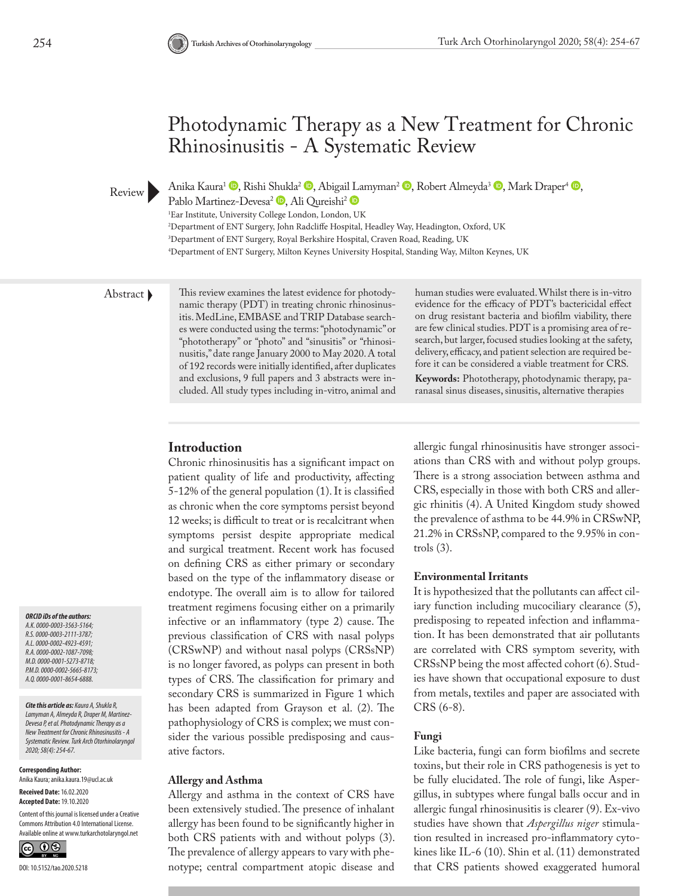# Photodynamic Therapy as a New Treatment for Chronic Rhinosinusitis - A Systematic Review

Anika Kaura<sup>1</sup> **.** Rishi [Shuk](https://orcid.org/0000-0002-5665-8173)la<sup>2</sup> **.** Abigai[l La](https://orcid.org/0000-0001-8654-6888)myman<sup>2</sup> **.** Robert Almeyda<sup>3</sup> **.** Mark Draper<sup>4</sup> **.** 

Pablo Martinez-Devesa<sup>2</sup> D, Ali Qureishi<sup>2</sup> D

1 Ear Institute, University College London, London, UK

2 Department of ENT Surgery, John Radcliffe Hospital, Headley Way, Headington, Oxford, UK

3 Department of ENT Surgery, Royal Berkshire Hospital, Craven Road, Reading, UK

4 Department of ENT Surgery, Milton Keynes University Hospital, Standing Way, Milton Keynes, UK

Review **D** 

Abstract This review examines the latest evidence for photodynamic therapy (PDT) in treating chronic rhinosinusitis. MedLine, EMBASE and TRIP Database searches were conducted using the terms: "photodynamic" or "phototherapy" or "photo" and "sinusitis" or "rhinosinusitis," date range January 2000 to May 2020. A total of 192 records were initially identified, after duplicates and exclusions, 9 full papers and 3 abstracts were included. All study types including in-vitro, animal and human studies were evaluated. Whilst there is in-vitro evidence for the efficacy of PDT's bactericidal effect on drug resistant bacteria and biofilm viability, there are few clinical studies. PDT is a promising area of research, but larger, focused studies looking at the safety, delivery, efficacy, and patient selection are required before it can be considered a viable treatment for CRS.

**Keywords:** Phototherapy, photodynamic therapy, paranasal sinus diseases, sinusitis, alternative therapies

#### **Introduction**

**Allergy and Asthma**

Chronic rhinosinusitis has a significant impact on patient quality of life and productivity, affecting 5-12% of the general population (1). It is classified as chronic when the core symptoms persist beyond 12 weeks; is difficult to treat or is recalcitrant when symptoms persist despite appropriate medical and surgical treatment. Recent work has focused on defining CRS as either primary or secondary based on the type of the inflammatory disease or endotype. The overall aim is to allow for tailored treatment regimens focusing either on a primarily infective or an inflammatory (type 2) cause. The previous classification of CRS with nasal polyps (CRSwNP) and without nasal polyps (CRSsNP) is no longer favored, as polyps can present in both types of CRS. The classification for primary and secondary CRS is summarized in Figure 1 which has been adapted from Grayson et al. (2). The pathophysiology of CRS is complex; we must consider the various possible predisposing and causative factors.

Allergy and asthma in the context of CRS have been extensively studied. The presence of inhalant allergy has been found to be significantly higher in both CRS patients with and without polyps (3). The prevalence of allergy appears to vary with phenotype; central compartment atopic disease and

# allergic fungal rhinosinusitis have stronger associations than CRS with and without polyp groups. There is a strong association between asthma and CRS, especially in those with both CRS and allergic rhinitis (4). A United Kingdom study showed the prevalence of asthma to be 44.9% in CRSwNP, 21.2% in CRSsNP, compared to the 9.95% in controls (3).

#### **Environmental Irritants**

It is hypothesized that the pollutants can affect ciliary function including mucociliary clearance (5), predisposing to repeated infection and inflammation. It has been demonstrated that air pollutants are correlated with CRS symptom severity, with CRSsNP being the most affected cohort (6). Studies have shown that occupational exposure to dust from metals, textiles and paper are associated with CRS (6-8).

#### **Fungi**

Like bacteria, fungi can form biofilms and secrete toxins, but their role in CRS pathogenesis is yet to be fully elucidated. The role of fungi, like Aspergillus, in subtypes where fungal balls occur and in allergic fungal rhinosinusitis is clearer (9). Ex-vivo studies have shown that *Aspergillus niger* stimulation resulted in increased pro-inflammatory cytokines like IL-6 (10). Shin et al. (11) demonstrated that CRS patients showed exaggerated humoral

*ORCID iDs of the authors: A.K. 0000-0003-3563-5164; R.S. 0000-0003-2111-3787; A.L. 0000-0002-4923-4591; R.A. 0000-0002-1087-7098; M.D. 0000-0001-5273-8718; P.M.D. 0000-0002-5665-8173; A.Q. 0000-0001-8654-6888.*

#### *Cite this article as: Kaura A, Shukla R,*

*Lamyman A, Almeyda R, Draper M, Martinez-Devesa P, et al. Photodynamic Therapy as a New Treatment for Chronic Rhinosinusitis - A Systematic Review. Turk Arch Otorhinolaryngol 2020; 58(4): 254-67.*

**Corresponding Author:**  Anika Kaura; anika.kaura.19@ucl.ac.uk

**Received Date:** 16.02.2020 **Accepted Date:** 19.10.2020

Content of this journal is licensed under a Creative Commons Attribution 4.0 International License. Available online at www.turkarchotolaryngol.net

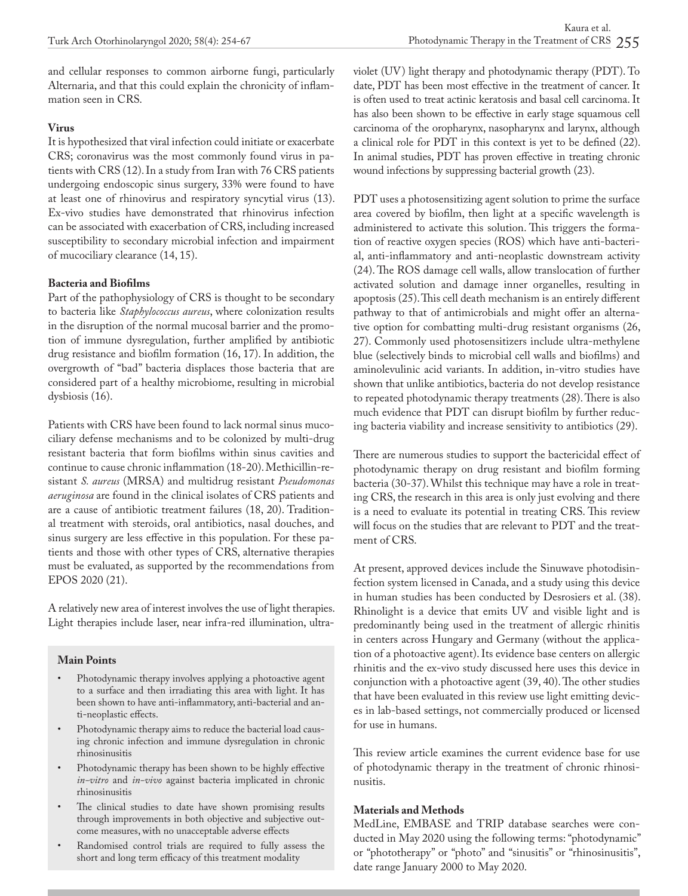and cellular responses to common airborne fungi, particularly Alternaria, and that this could explain the chronicity of inflammation seen in CRS.

## **Virus**

It is hypothesized that viral infection could initiate or exacerbate CRS; coronavirus was the most commonly found virus in patients with CRS (12). In a study from Iran with 76 CRS patients undergoing endoscopic sinus surgery, 33% were found to have at least one of rhinovirus and respiratory syncytial virus (13). Ex-vivo studies have demonstrated that rhinovirus infection can be associated with exacerbation of CRS, including increased susceptibility to secondary microbial infection and impairment of mucociliary clearance (14, 15).

# **Bacteria and Biofilms**

Part of the pathophysiology of CRS is thought to be secondary to bacteria like *Staphylococcus aureus*, where colonization results in the disruption of the normal mucosal barrier and the promotion of immune dysregulation, further amplified by antibiotic drug resistance and biofilm formation (16, 17). In addition, the overgrowth of "bad" bacteria displaces those bacteria that are considered part of a healthy microbiome, resulting in microbial dysbiosis (16).

Patients with CRS have been found to lack normal sinus mucociliary defense mechanisms and to be colonized by multi-drug resistant bacteria that form biofilms within sinus cavities and continue to cause chronic inflammation (18-20). Methicillin-resistant *S. aureus* (MRSA) and multidrug resistant *Pseudomonas aeruginosa* are found in the clinical isolates of CRS patients and are a cause of antibiotic treatment failures (18, 20). Traditional treatment with steroids, oral antibiotics, nasal douches, and sinus surgery are less effective in this population. For these patients and those with other types of CRS, alternative therapies must be evaluated, as supported by the recommendations from EPOS 2020 (21).

A relatively new area of interest involves the use of light therapies. Light therapies include laser, near infra-red illumination, ultra-

# **Main Points**

- Photodynamic therapy involves applying a photoactive agent to a surface and then irradiating this area with light. It has been shown to have anti-inflammatory, anti-bacterial and anti-neoplastic effects.
- Photodynamic therapy aims to reduce the bacterial load causing chronic infection and immune dysregulation in chronic rhinosinusitis
- Photodynamic therapy has been shown to be highly effective *in-vitro* and *in-vivo* against bacteria implicated in chronic rhinosinusitis
- The clinical studies to date have shown promising results through improvements in both objective and subjective outcome measures, with no unacceptable adverse effects
- Randomised control trials are required to fully assess the short and long term efficacy of this treatment modality

violet (UV) light therapy and photodynamic therapy (PDT). To date, PDT has been most effective in the treatment of cancer. It is often used to treat actinic keratosis and basal cell carcinoma. It has also been shown to be effective in early stage squamous cell carcinoma of the oropharynx, nasopharynx and larynx, although a clinical role for PDT in this context is yet to be defined (22). In animal studies, PDT has proven effective in treating chronic wound infections by suppressing bacterial growth (23).

PDT uses a photosensitizing agent solution to prime the surface area covered by biofilm, then light at a specific wavelength is administered to activate this solution. This triggers the formation of reactive oxygen species (ROS) which have anti-bacterial, anti-inflammatory and anti-neoplastic downstream activity (24). The ROS damage cell walls, allow translocation of further activated solution and damage inner organelles, resulting in apoptosis (25). This cell death mechanism is an entirely different pathway to that of antimicrobials and might offer an alternative option for combatting multi-drug resistant organisms (26, 27). Commonly used photosensitizers include ultra-methylene blue (selectively binds to microbial cell walls and biofilms) and aminolevulinic acid variants. In addition, in-vitro studies have shown that unlike antibiotics, bacteria do not develop resistance to repeated photodynamic therapy treatments (28). There is also much evidence that PDT can disrupt biofilm by further reducing bacteria viability and increase sensitivity to antibiotics (29).

There are numerous studies to support the bactericidal effect of photodynamic therapy on drug resistant and biofilm forming bacteria (30-37). Whilst this technique may have a role in treating CRS, the research in this area is only just evolving and there is a need to evaluate its potential in treating CRS. This review will focus on the studies that are relevant to PDT and the treatment of CRS.

At present, approved devices include the Sinuwave photodisinfection system licensed in Canada, and a study using this device in human studies has been conducted by Desrosiers et al. (38). Rhinolight is a device that emits UV and visible light and is predominantly being used in the treatment of allergic rhinitis in centers across Hungary and Germany (without the application of a photoactive agent). Its evidence base centers on allergic rhinitis and the ex-vivo study discussed here uses this device in conjunction with a photoactive agent (39, 40). The other studies that have been evaluated in this review use light emitting devices in lab-based settings, not commercially produced or licensed for use in humans.

This review article examines the current evidence base for use of photodynamic therapy in the treatment of chronic rhinosinusitis.

### **Materials and Methods**

MedLine, EMBASE and TRIP database searches were conducted in May 2020 using the following terms: "photodynamic" or "phototherapy" or "photo" and "sinusitis" or "rhinosinusitis", date range January 2000 to May 2020.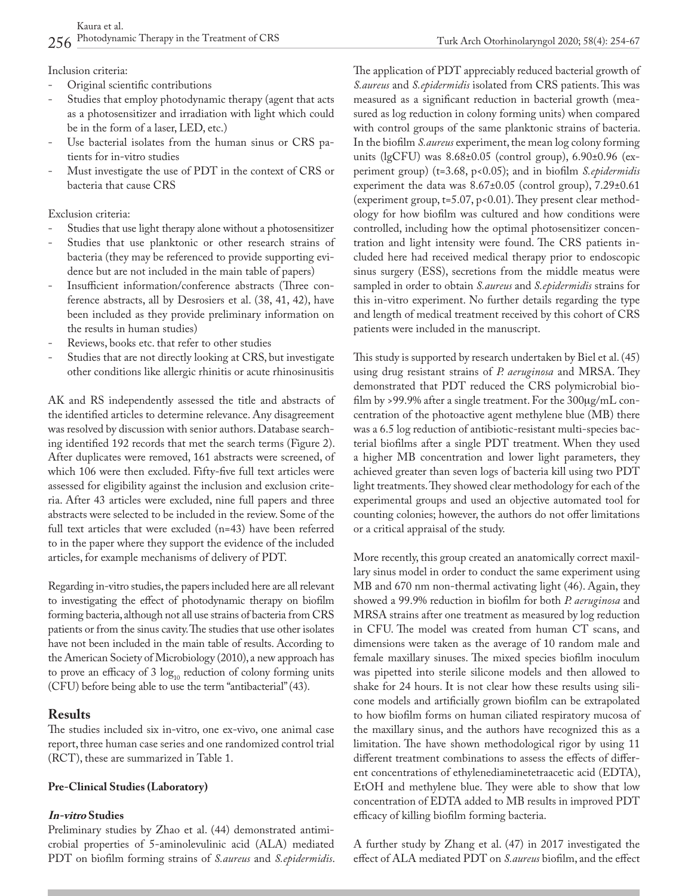Inclusion criteria:

- Original scientific contributions
- Studies that employ photodynamic therapy (agent that acts as a photosensitizer and irradiation with light which could be in the form of a laser, LED, etc.)
- Use bacterial isolates from the human sinus or CRS patients for in-vitro studies
- Must investigate the use of PDT in the context of CRS or bacteria that cause CRS

Exclusion criteria:

- Studies that use light therapy alone without a photosensitizer
- Studies that use planktonic or other research strains of bacteria (they may be referenced to provide supporting evidence but are not included in the main table of papers)
- Insufficient information/conference abstracts (Three conference abstracts, all by Desrosiers et al. (38, 41, 42), have been included as they provide preliminary information on the results in human studies)
- Reviews, books etc. that refer to other studies
- Studies that are not directly looking at CRS, but investigate other conditions like allergic rhinitis or acute rhinosinusitis

AK and RS independently assessed the title and abstracts of the identified articles to determine relevance. Any disagreement was resolved by discussion with senior authors. Database searching identified 192 records that met the search terms (Figure 2). After duplicates were removed, 161 abstracts were screened, of which 106 were then excluded. Fifty-five full text articles were assessed for eligibility against the inclusion and exclusion criteria. After 43 articles were excluded, nine full papers and three abstracts were selected to be included in the review. Some of the full text articles that were excluded (n=43) have been referred to in the paper where they support the evidence of the included articles, for example mechanisms of delivery of PDT.

Regarding in-vitro studies, the papers included here are all relevant to investigating the effect of photodynamic therapy on biofilm forming bacteria, although not all use strains of bacteria from CRS patients or from the sinus cavity. The studies that use other isolates have not been included in the main table of results. According to the American Society of Microbiology (2010), a new approach has to prove an efficacy of 3  $log_{10}$  reduction of colony forming units (CFU) before being able to use the term "antibacterial" (43).

# **Results**

The studies included six in-vitro, one ex-vivo, one animal case report, three human case series and one randomized control trial (RCT), these are summarized in Table 1.

# **Pre-Clinical Studies (Laboratory)**

# **In-vitro Studies**

Preliminary studies by Zhao et al. (44) demonstrated antimicrobial properties of 5-aminolevulinic acid (ALA) mediated PDT on biofilm forming strains of *S.aureus* and *S.epidermidis*. The application of PDT appreciably reduced bacterial growth of *S.aureus* and *S.epidermidis* isolated from CRS patients. This was measured as a significant reduction in bacterial growth (measured as log reduction in colony forming units) when compared with control groups of the same planktonic strains of bacteria. In the biofilm *S.aureus* experiment, the mean log colony forming units (lgCFU) was 8.68±0.05 (control group), 6.90±0.96 (experiment group) (t=3.68, p<0.05); and in biofilm *S.epidermidis* experiment the data was 8.67±0.05 (control group), 7.29±0.61 (experiment group, t=5.07, p<0.01). They present clear methodology for how biofilm was cultured and how conditions were controlled, including how the optimal photosensitizer concentration and light intensity were found. The CRS patients included here had received medical therapy prior to endoscopic sinus surgery (ESS), secretions from the middle meatus were sampled in order to obtain *S.aureus* and *S.epidermidis* strains for this in-vitro experiment. No further details regarding the type and length of medical treatment received by this cohort of CRS patients were included in the manuscript.

This study is supported by research undertaken by Biel et al. (45) using drug resistant strains of *P. aeruginosa* and MRSA. They demonstrated that PDT reduced the CRS polymicrobial biofilm by >99.9% after a single treatment. For the  $300\mu\text{g/mL}$  concentration of the photoactive agent methylene blue (MB) there was a 6.5 log reduction of antibiotic-resistant multi-species bacterial biofilms after a single PDT treatment. When they used a higher MB concentration and lower light parameters, they achieved greater than seven logs of bacteria kill using two PDT light treatments. They showed clear methodology for each of the experimental groups and used an objective automated tool for counting colonies; however, the authors do not offer limitations or a critical appraisal of the study.

More recently, this group created an anatomically correct maxillary sinus model in order to conduct the same experiment using MB and 670 nm non-thermal activating light (46). Again, they showed a 99.9% reduction in biofilm for both *P. aeruginosa* and MRSA strains after one treatment as measured by log reduction in CFU. The model was created from human CT scans, and dimensions were taken as the average of 10 random male and female maxillary sinuses. The mixed species biofilm inoculum was pipetted into sterile silicone models and then allowed to shake for 24 hours. It is not clear how these results using silicone models and artificially grown biofilm can be extrapolated to how biofilm forms on human ciliated respiratory mucosa of the maxillary sinus, and the authors have recognized this as a limitation. The have shown methodological rigor by using 11 different treatment combinations to assess the effects of different concentrations of ethylenediaminetetraacetic acid (EDTA), EtOH and methylene blue. They were able to show that low concentration of EDTA added to MB results in improved PDT efficacy of killing biofilm forming bacteria.

A further study by Zhang et al. (47) in 2017 investigated the effect of ALA mediated PDT on *S.aureus* biofilm, and the effect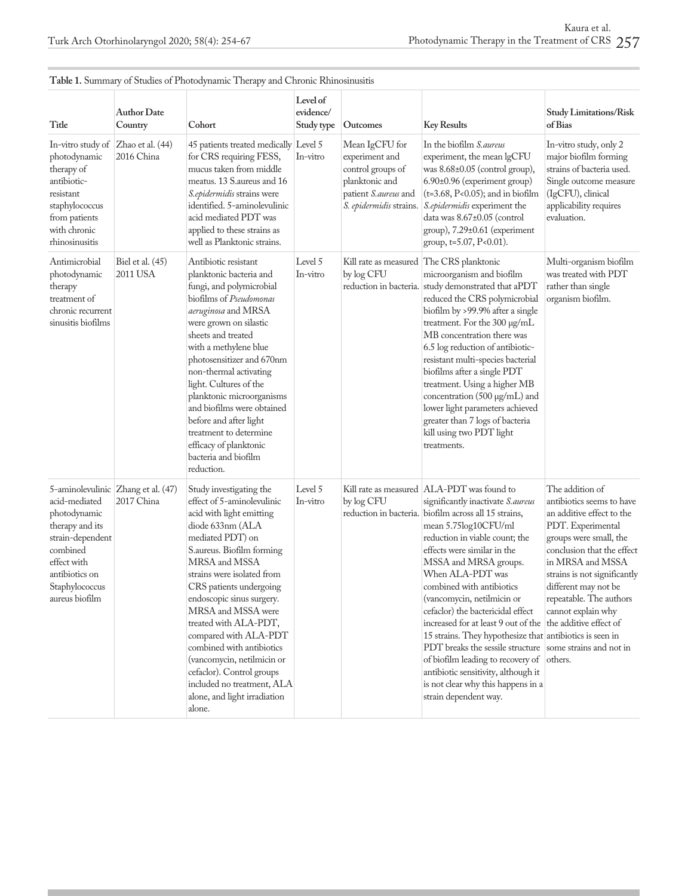|                                                                                                                                                       |                                                  | <b>1</b> -                                                                                                                                                                                                                                                                                                                                                                                                                                                                                             | Level of                |                                                                                                                            |                                                                                                                                                                                                                                                                                                                                                                                                                                                                                                                                                                                                                                                                                                                           |                                                                                                                                                                                                                                                                                     |
|-------------------------------------------------------------------------------------------------------------------------------------------------------|--------------------------------------------------|--------------------------------------------------------------------------------------------------------------------------------------------------------------------------------------------------------------------------------------------------------------------------------------------------------------------------------------------------------------------------------------------------------------------------------------------------------------------------------------------------------|-------------------------|----------------------------------------------------------------------------------------------------------------------------|---------------------------------------------------------------------------------------------------------------------------------------------------------------------------------------------------------------------------------------------------------------------------------------------------------------------------------------------------------------------------------------------------------------------------------------------------------------------------------------------------------------------------------------------------------------------------------------------------------------------------------------------------------------------------------------------------------------------------|-------------------------------------------------------------------------------------------------------------------------------------------------------------------------------------------------------------------------------------------------------------------------------------|
| Title                                                                                                                                                 | <b>Author Date</b><br>Country                    | Cohort                                                                                                                                                                                                                                                                                                                                                                                                                                                                                                 | evidence/<br>Study type | Outcomes                                                                                                                   | <b>Key Results</b>                                                                                                                                                                                                                                                                                                                                                                                                                                                                                                                                                                                                                                                                                                        | <b>Study Limitations/Risk</b><br>of Bias                                                                                                                                                                                                                                            |
| In-vitro study of<br>photodynamic<br>therapy of<br>antibiotic-<br>resistant<br>staphylococcus<br>from patients<br>with chronic<br>rhinosinusitis      | Zhao et al. (44)<br>2016 China                   | 45 patients treated medically Level 5<br>for CRS requiring FESS,<br>mucus taken from middle<br>meatus. 13 S. aureus and 16<br>S.epidermidis strains were<br>identified. 5-aminolevulinic<br>acid mediated PDT was<br>applied to these strains as<br>well as Planktonic strains.                                                                                                                                                                                                                        | In-vitro                | Mean IgCFU for<br>experiment and<br>control groups of<br>planktonic and<br>patient S.aureus and<br>S. epidermidis strains. | In the biofilm S.aureus<br>experiment, the mean lgCFU<br>was 8.68±0.05 (control group),<br>6.90±0.96 (experiment group)<br>$(t=3.68, P<0.05)$ ; and in biofilm<br>S.epidermidis experiment the<br>data was 8.67±0.05 (control<br>group), 7.29±0.61 (experiment<br>group, t=5.07, P<0.01).                                                                                                                                                                                                                                                                                                                                                                                                                                 | In-vitro study, only 2<br>major biofilm forming<br>strains of bacteria used.<br>Single outcome measure<br>(IgCFU), clinical<br>applicability requires<br>evaluation.                                                                                                                |
| Antimicrobial<br>photodynamic<br>therapy<br>treatment of<br>chronic recurrent<br>sinusitis biofilms                                                   | Biel et al. (45)<br>2011 USA                     | Antibiotic resistant<br>planktonic bacteria and<br>fungi, and polymicrobial<br>biofilms of <i>Pseudomonas</i><br>aeruginosa and MRSA<br>were grown on silastic<br>sheets and treated<br>with a methylene blue<br>photosensitizer and 670nm<br>non-thermal activating<br>light. Cultures of the<br>planktonic microorganisms<br>and biofilms were obtained<br>before and after light<br>treatment to determine<br>efficacy of planktonic<br>bacteria and biofilm<br>reduction.                          | Level 5<br>In-vitro     | by log CFU                                                                                                                 | Kill rate as measured The CRS planktonic<br>microorganism and biofilm<br>reduction in bacteria. study demonstrated that aPDT<br>reduced the CRS polymicrobial<br>biofilm by >99.9% after a single<br>treatment. For the 300 µg/mL<br>MB concentration there was<br>6.5 log reduction of antibiotic-<br>resistant multi-species bacterial<br>biofilms after a single PDT<br>treatment. Using a higher MB<br>concentration (500 µg/mL) and<br>lower light parameters achieved<br>greater than 7 logs of bacteria<br>kill using two PDT light<br>treatments.                                                                                                                                                                 | Multi-organism biofilm<br>was treated with PDT<br>rather than single<br>organism biofilm.                                                                                                                                                                                           |
| acid-mediated<br>photodynamic<br>therapy and its<br>strain-dependent<br>combined<br>effect with<br>antibiotics on<br>Staphylococcus<br>aureus biofilm | 5-aminolevulinic Zhang et al. (47)<br>2017 China | Study investigating the<br>effect of 5-aminolevulinic<br>acid with light emitting<br>diode 633nm (ALA<br>mediated PDT) on<br>S. aureus. Biofilm forming<br>MRSA and MSSA<br>strains were isolated from<br>CRS patients undergoing<br>endoscopic sinus surgery.<br>MRSA and MSSA were<br>treated with ALA-PDT,<br>compared with ALA-PDT<br>combined with antibiotics<br>(vancomycin, netilmicin or<br>cefaclor). Control groups<br>included no treatment, ALA<br>alone, and light irradiation<br>alone. | Level 5<br>In-vitro     | by log CFU                                                                                                                 | Kill rate as measured   ALA-PDT was found to<br>significantly inactivate S.aureus<br>reduction in bacteria. biofilm across all 15 strains,<br>mean 5.75log10CFU/ml<br>reduction in viable count; the<br>effects were similar in the<br>MSSA and MRSA groups.<br>When ALA-PDT was<br>combined with antibiotics<br>(vancomycin, netilmicin or<br>cefaclor) the bactericidal effect<br>increased for at least 9 out of the the additive effect of<br>15 strains. They hypothesize that antibiotics is seen in<br>PDT breaks the sessile structure some strains and not in<br>of biofilm leading to recovery of others.<br>antibiotic sensitivity, although it<br>is not clear why this happens in a<br>strain dependent way. | The addition of<br>antibiotics seems to have<br>an additive effect to the<br>PDT. Experimental<br>groups were small, the<br>conclusion that the effect<br>in MRSA and MSSA<br>strains is not significantly<br>different may not be<br>repeatable. The authors<br>cannot explain why |

#### Table 1. Summary of Studies of Photodynamic Therapy and Chronic Rhinosinusitis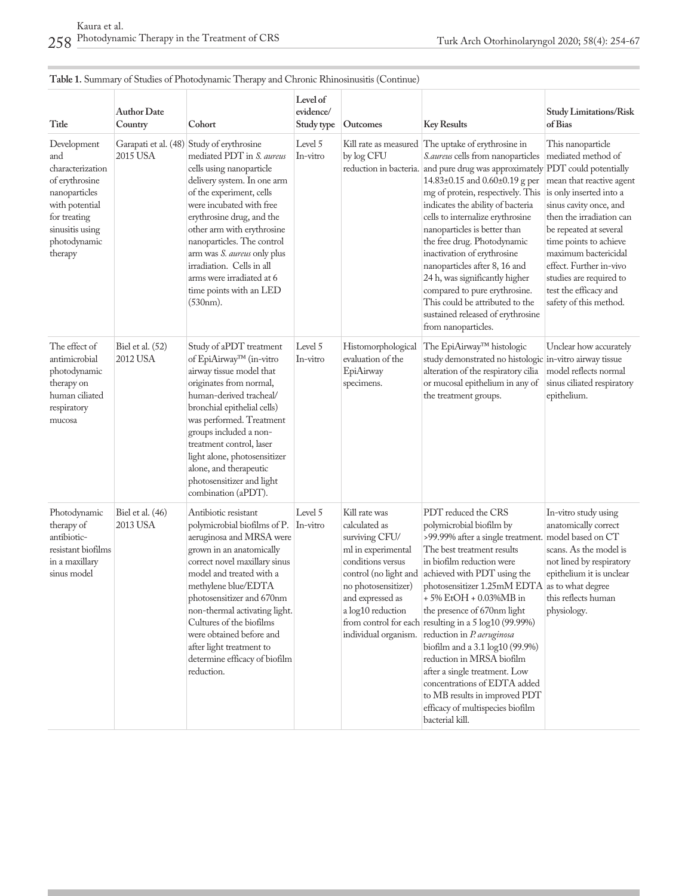| Title                                                                                                                                                     | <b>Author Date</b><br>Country | Cohort                                                                                                                                                                                                                                                                                                                                                                                                                       | Level of<br>evidence/<br>Study type | Outcomes                                                                                                                                                                                                     | <b>Key Results</b>                                                                                                                                                                                                                                                                                                                                                                                                                                                                                                                                                                                                                               | <b>Study Limitations/Risk</b><br>of Bias                                                                                                                                                                                                                                                                       |
|-----------------------------------------------------------------------------------------------------------------------------------------------------------|-------------------------------|------------------------------------------------------------------------------------------------------------------------------------------------------------------------------------------------------------------------------------------------------------------------------------------------------------------------------------------------------------------------------------------------------------------------------|-------------------------------------|--------------------------------------------------------------------------------------------------------------------------------------------------------------------------------------------------------------|--------------------------------------------------------------------------------------------------------------------------------------------------------------------------------------------------------------------------------------------------------------------------------------------------------------------------------------------------------------------------------------------------------------------------------------------------------------------------------------------------------------------------------------------------------------------------------------------------------------------------------------------------|----------------------------------------------------------------------------------------------------------------------------------------------------------------------------------------------------------------------------------------------------------------------------------------------------------------|
| Development<br>and<br>characterization<br>of erythrosine<br>nanoparticles<br>with potential<br>for treating<br>sinusitis using<br>photodynamic<br>therapy | 2015 USA                      | Garapati et al. (48) Study of erythrosine<br>mediated PDT in <i>S. aureus</i><br>cells using nanoparticle<br>delivery system. In one arm<br>of the experiment, cells<br>were incubated with free<br>erythrosine drug, and the<br>other arm with erythrosine<br>nanoparticles. The control<br>arm was S. aureus only plus<br>irradiation. Cells in all<br>arms were irradiated at 6<br>time points with an LED<br>$(530nm)$ . | Level 5<br>In-vitro                 | by log CFU                                                                                                                                                                                                   | Kill rate as measured The uptake of erythrosine in<br>S.aureus cells from nanoparticles<br>reduction in bacteria. and pure drug was approximately PDT could potentially<br>14.83±0.15 and 0.60±0.19 g per<br>mg of protein, respectively. This is only inserted into a<br>indicates the ability of bacteria<br>cells to internalize erythrosine<br>nanoparticles is better than<br>the free drug. Photodynamic<br>inactivation of erythrosine<br>nanoparticles after 8, 16 and<br>24 h, was significantly higher<br>compared to pure erythrosine.<br>This could be attributed to the<br>sustained released of erythrosine<br>from nanoparticles. | This nanoparticle<br>mediated method of<br>mean that reactive agent<br>sinus cavity once, and<br>then the irradiation can<br>be repeated at several<br>time points to achieve<br>maximum bactericidal<br>effect. Further in-vivo<br>studies are required to<br>test the efficacy and<br>safety of this method. |
| The effect of<br>antimicrobial<br>photodynamic<br>therapy on<br>human ciliated<br>respiratory<br>mucosa                                                   | Biel et al. (52)<br>2012 USA  | Study of aPDT treatment<br>of EpiAirway™ (in-vitro<br>airway tissue model that<br>originates from normal,<br>human-derived tracheal/<br>bronchial epithelial cells)<br>was performed. Treatment<br>groups included a non-<br>treatment control, laser<br>light alone, photosensitizer<br>alone, and therapeutic<br>photosensitizer and light<br>combination (aPDT).                                                          | Level 5<br>In-vitro                 | Histomorphological<br>evaluation of the<br>EpiAirway<br>specimens.                                                                                                                                           | The EpiAirway™ histologic<br>study demonstrated no histologic in-vitro airway tissue<br>alteration of the respiratory cilia<br>or mucosal epithelium in any of<br>the treatment groups.                                                                                                                                                                                                                                                                                                                                                                                                                                                          | Unclear how accurately<br>model reflects normal<br>sinus ciliated respiratory<br>epithelium.                                                                                                                                                                                                                   |
| Photodynamic<br>therapy of<br>antibiotic-<br>resistant biofilms<br>in a maxillary<br>sinus model                                                          | Biel et al. (46)<br>2013 USA  | Antibiotic resistant<br>polymicrobial biofilms of P.<br>aeruginosa and MRSA were<br>grown in an anatomically<br>correct novel maxillary sinus<br>model and treated with a<br>methylene blue/EDTA<br>photosensitizer and 670nm<br>non-thermal activating light.<br>Cultures of the biofilms<br>were obtained before and<br>after light treatment to<br>determine efficacy of biofilm<br>reduction.                            | Level 5<br>In-vitro                 | Kill rate was<br>calculated as<br>surviving CFU/<br>ml in experimental<br>conditions versus<br>control (no light and<br>no photosensitizer)<br>and expressed as<br>a log10 reduction<br>individual organism. | PDT reduced the CRS<br>polymicrobial biofilm by<br>>99.99% after a single treatment. model based on CT<br>The best treatment results<br>in biofilm reduction were<br>achieved with PDT using the<br>photosensitizer 1.25mM EDTA as to what degree<br>+ 5% EtOH + 0.03%MB in<br>the presence of 670nm light<br>from control for each resulting in a 5 log10 (99.99%)<br>reduction in P. aeruginosa<br>biofilm and a 3.1 log10 (99.9%)<br>reduction in MRSA biofilm<br>after a single treatment. Low<br>concentrations of EDTA added<br>to MB results in improved PDT<br>efficacy of multispecies biofilm<br>bacterial kill.                       | In-vitro study using<br>anatomically correct<br>scans. As the model is<br>not lined by respiratory<br>epithelium it is unclear<br>this reflects human<br>physiology.                                                                                                                                           |

# **Table 1.** Summary of Studies of Photodynamic Therapy and Chronic Rhinosinusitis (Continue)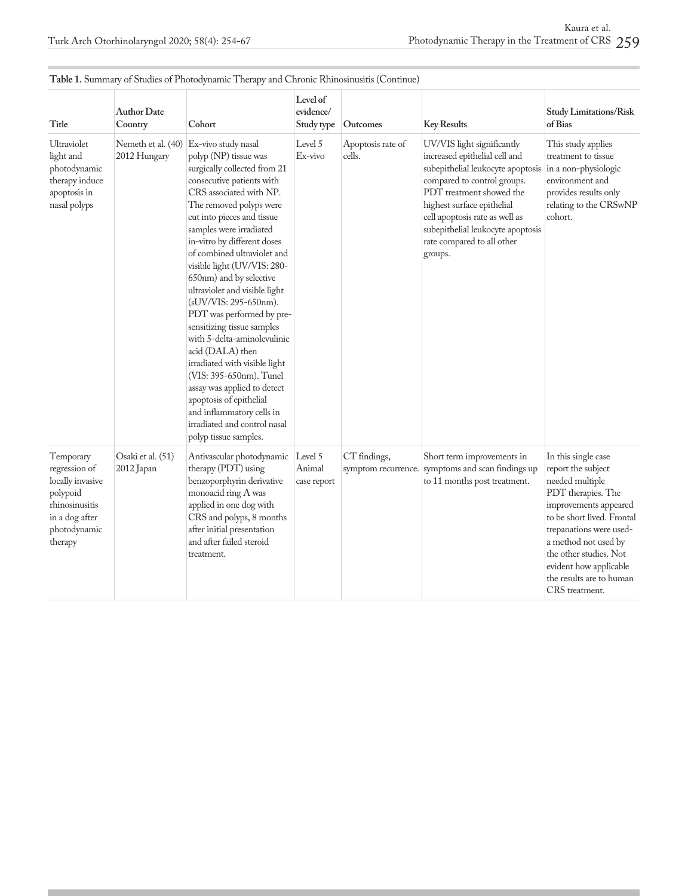| Title                                                                                                                     | <b>Author Date</b><br>Country      | <b>1</b> -<br>Cohort                                                                                                                                                                                                                                                                                                                                                                                                                                                                                                                                                                                                                                                                                                                 | Level of<br>evidence/<br>Study type | Outcomes                            | <b>Key Results</b>                                                                                                                                                                                                                                                                                        | <b>Study Limitations/Risk</b><br>of Bias                                                                                                                                                                                                                                                       |
|---------------------------------------------------------------------------------------------------------------------------|------------------------------------|--------------------------------------------------------------------------------------------------------------------------------------------------------------------------------------------------------------------------------------------------------------------------------------------------------------------------------------------------------------------------------------------------------------------------------------------------------------------------------------------------------------------------------------------------------------------------------------------------------------------------------------------------------------------------------------------------------------------------------------|-------------------------------------|-------------------------------------|-----------------------------------------------------------------------------------------------------------------------------------------------------------------------------------------------------------------------------------------------------------------------------------------------------------|------------------------------------------------------------------------------------------------------------------------------------------------------------------------------------------------------------------------------------------------------------------------------------------------|
| Ultraviolet<br>light and<br>photodynamic<br>therapy induce<br>apoptosis in<br>nasal polyps                                | Nemeth et al. (40)<br>2012 Hungary | Ex-vivo study nasal<br>polyp (NP) tissue was<br>surgically collected from 21<br>consecutive patients with<br>CRS associated with NP.<br>The removed polyps were<br>cut into pieces and tissue<br>samples were irradiated<br>in-vitro by different doses<br>of combined ultraviolet and<br>visible light (UV/VIS: 280-<br>650nm) and by selective<br>ultraviolet and visible light<br>(sUV/VIS: 295-650nm).<br>PDT was performed by pre-<br>sensitizing tissue samples<br>with 5-delta-aminolevulinic<br>acid (DALA) then<br>irradiated with visible light<br>(VIS: 395-650nm). Tunel<br>assay was applied to detect<br>apoptosis of epithelial<br>and inflammatory cells in<br>irradiated and control nasal<br>polyp tissue samples. | Level 5<br>Ex-vivo                  | Apoptosis rate of<br>cells.         | UV/VIS light significantly<br>increased epithelial cell and<br>subepithelial leukocyte apoptosis<br>compared to control groups.<br>PDT treatment showed the<br>highest surface epithelial<br>cell apoptosis rate as well as<br>subepithelial leukocyte apoptosis<br>rate compared to all other<br>groups. | This study applies<br>treatment to tissue<br>in a non-physiologic<br>environment and<br>provides results only<br>relating to the CRSwNP<br>cohort.                                                                                                                                             |
| Temporary<br>regression of<br>locally invasive<br>polypoid<br>rhinosinusitis<br>in a dog after<br>photodynamic<br>therapy | Osaki et al. (51)<br>2012 Japan    | Antivascular photodynamic Level 5<br>therapy (PDT) using<br>benzoporphyrin derivative<br>monoacid ring A was<br>applied in one dog with<br>CRS and polyps, 8 months<br>after initial presentation<br>and after failed steroid<br>treatment.                                                                                                                                                                                                                                                                                                                                                                                                                                                                                          | Animal<br>case report               | CT findings,<br>symptom recurrence. | Short term improvements in<br>symptoms and scan findings up<br>to 11 months post treatment.                                                                                                                                                                                                               | In this single case<br>report the subject<br>needed multiple<br>PDT therapies. The<br>improvements appeared<br>to be short lived. Frontal<br>trepanations were used-<br>a method not used by<br>the other studies. Not<br>evident how applicable<br>the results are to human<br>CRS treatment. |

#### **Table 1.** Summary of Studies of Photodynamic Therapy and Chronic Rhinosinusitis (Continue)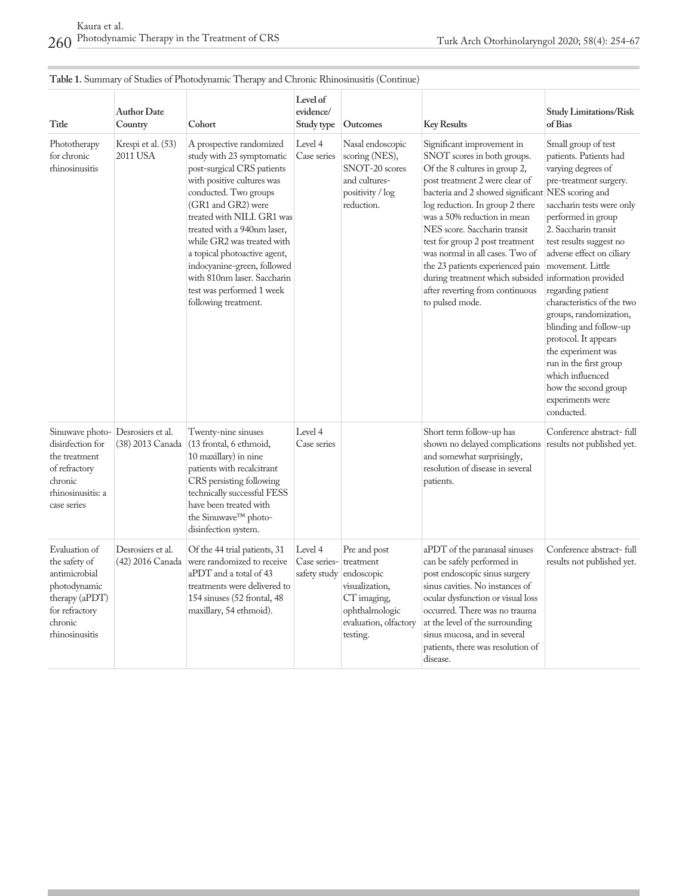| Title                                                                                                                            | <b>Author Date</b><br>Country         | Cohort                                                                                                                                                                                                                                                                                                                                                                                                         | Level of<br>evidence/<br>Study type                | Outcomes                                                                                                            | <b>Key Results</b>                                                                                                                                                                                                                                                                                                                                                                                                                                                                                          | Study Limitations/Risk<br>of Bias                                                                                                                                                                                                                                                                                                                                                                                                                                                                                 |
|----------------------------------------------------------------------------------------------------------------------------------|---------------------------------------|----------------------------------------------------------------------------------------------------------------------------------------------------------------------------------------------------------------------------------------------------------------------------------------------------------------------------------------------------------------------------------------------------------------|----------------------------------------------------|---------------------------------------------------------------------------------------------------------------------|-------------------------------------------------------------------------------------------------------------------------------------------------------------------------------------------------------------------------------------------------------------------------------------------------------------------------------------------------------------------------------------------------------------------------------------------------------------------------------------------------------------|-------------------------------------------------------------------------------------------------------------------------------------------------------------------------------------------------------------------------------------------------------------------------------------------------------------------------------------------------------------------------------------------------------------------------------------------------------------------------------------------------------------------|
| Phototherapy<br>for chronic<br>rhinosinusitis                                                                                    | Krespi et al. (53)<br>2011 USA        | A prospective randomized<br>study with 23 symptomatic<br>post-surgical CRS patients<br>with positive cultures was<br>conducted. Two groups<br>(GR1 and GR2) were<br>treated with NILI. GR1 was<br>treated with a 940nm laser,<br>while GR2 was treated with<br>a topical photoactive agent,<br>indocyanine-green, followed<br>with 810nm laser. Saccharin<br>test was performed 1 week<br>following treatment. | Level 4<br>Case series                             | Nasal endoscopic<br>scoring (NES),<br>SNOT-20 scores<br>and cultures-<br>positivity / log<br>reduction.             | Significant improvement in<br>SNOT scores in both groups.<br>Of the 8 cultures in group 2,<br>post treatment 2 were clear of<br>bacteria and 2 showed significant NES scoring and<br>log reduction. In group 2 there<br>was a 50% reduction in mean<br>NES score. Saccharin transit<br>test for group 2 post treatment<br>was normal in all cases. Two of<br>the 23 patients experienced pain<br>during treatment which subsided information provided<br>after reverting from continuous<br>to pulsed mode. | Small group of test<br>patients. Patients had<br>varying degrees of<br>pre-treatment surgery.<br>saccharin tests were only<br>performed in group<br>2. Saccharin transit<br>test results suggest no<br>adverse effect on ciliary<br>movement. Little<br>regarding patient<br>characteristics of the two<br>groups, randomization,<br>blinding and follow-up<br>protocol. It appears<br>the experiment was<br>run in the first group<br>which influenced<br>how the second group<br>experiments were<br>conducted. |
| Sinuwave photo-<br>disinfection for<br>the treatment<br>of refractory<br>chronic<br>rhinosinusitis: a<br>case series             | Desrosiers et al.<br>(38) 2013 Canada | Twenty-nine sinuses<br>(13 frontal, 6 ethmoid,<br>10 maxillary) in nine<br>patients with recalcitrant<br>CRS persisting following<br>technically successful FESS<br>have been treated with<br>the Sinuwave <sup>™</sup> photo-<br>disinfection system.                                                                                                                                                         | Level 4<br>Case series                             |                                                                                                                     | Short term follow-up has<br>shown no delayed complications<br>and somewhat surprisingly,<br>resolution of disease in several<br>patients.                                                                                                                                                                                                                                                                                                                                                                   | Conference abstract-full<br>results not published yet.                                                                                                                                                                                                                                                                                                                                                                                                                                                            |
| Evaluation of<br>the safety of<br>antimicrobial<br>photodynamic<br>therapy (aPDT)<br>for refractory<br>chronic<br>rhinosinusitis | Desrosiers et al.<br>(42) 2016 Canada | Of the 44 trial patients, 31<br>were randomized to receive<br>aPDT and a total of 43<br>treatments were delivered to<br>154 sinuses (52 frontal, 48<br>maxillary, 54 ethmoid).                                                                                                                                                                                                                                 | Level 4<br>Case series-<br>safety study endoscopic | Pre and post<br>treatment<br>visualization,<br>$CT$ imaging,<br>ophthalmologic<br>evaluation, olfactory<br>testing. | aPDT of the paranasal sinuses<br>can be safely performed in<br>post endoscopic sinus surgery<br>sinus cavities. No instances of<br>ocular dysfunction or visual loss<br>occurred. There was no trauma<br>at the level of the surrounding<br>sinus mucosa, and in several<br>patients, there was resolution of<br>disease.                                                                                                                                                                                   | Conference abstract-full<br>results not published yet.                                                                                                                                                                                                                                                                                                                                                                                                                                                            |

# **Table 1.** Summary of Studies of Photodynamic Therapy and Chronic Rhinosinusitis (Continue)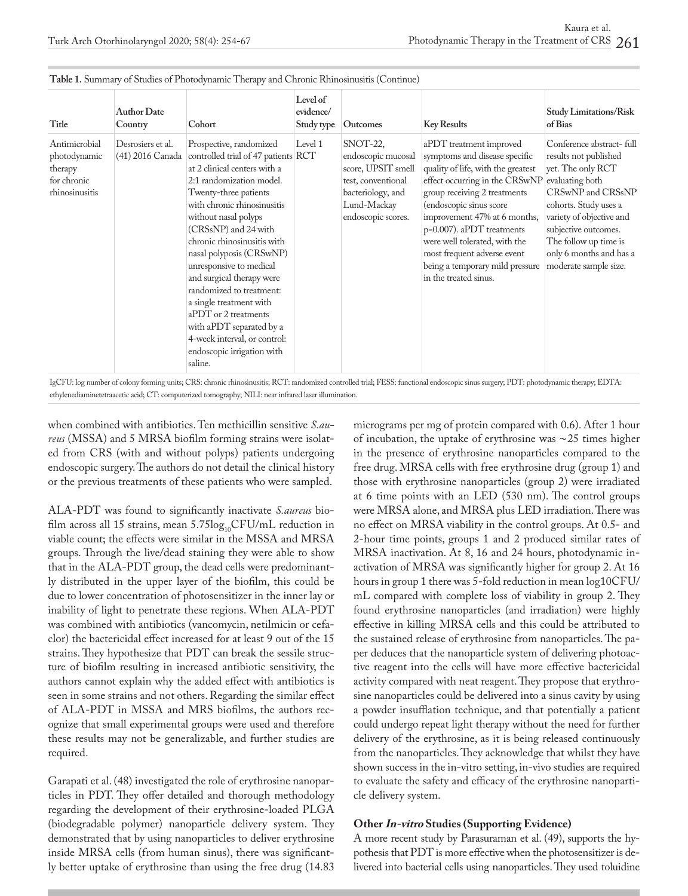| Title                                                                     | <b>Author Date</b><br>Country         | Cohort                                                                                                                                                                                                                                                                                                                                                                                                                                                                                                                                    | Level of<br>evidence/<br>Study type | <b>Outcomes</b>                                                                                                                      | <b>Key Results</b>                                                                                                                                                                                                                                                                                                                                                                   | <b>Study Limitations/Risk</b><br>of Bias                                                                                                                                                                                                                                 |
|---------------------------------------------------------------------------|---------------------------------------|-------------------------------------------------------------------------------------------------------------------------------------------------------------------------------------------------------------------------------------------------------------------------------------------------------------------------------------------------------------------------------------------------------------------------------------------------------------------------------------------------------------------------------------------|-------------------------------------|--------------------------------------------------------------------------------------------------------------------------------------|--------------------------------------------------------------------------------------------------------------------------------------------------------------------------------------------------------------------------------------------------------------------------------------------------------------------------------------------------------------------------------------|--------------------------------------------------------------------------------------------------------------------------------------------------------------------------------------------------------------------------------------------------------------------------|
| Antimicrobial<br>photodynamic<br>therapy<br>for chronic<br>rhinosinusitis | Desrosiers et al.<br>(41) 2016 Canada | Prospective, randomized<br>controlled trial of 47 patients RCT<br>at 2 clinical centers with a<br>2:1 randomization model.<br>Twenty-three patients<br>with chronic rhinosinusitis<br>without nasal polyps<br>(CRSsNP) and 24 with<br>chronic rhinosinusitis with<br>nasal polyposis (CRSwNP)<br>unresponsive to medical<br>and surgical therapy were<br>randomized to treatment:<br>a single treatment with<br>aPDT or 2 treatments<br>with aPDT separated by a<br>4-week interval, or control:<br>endoscopic irrigation with<br>saline. | Level 1                             | SNOT-22,<br>endoscopic mucosal<br>score, UPSIT smell<br>test, conventional<br>bacteriology, and<br>Lund-Mackay<br>endoscopic scores. | aPDT treatment improved<br>symptoms and disease specific<br>quality of life, with the greatest<br>effect occurring in the CRSwNP<br>group receiving 2 treatments<br>(endoscopic sinus score<br>improvement 47% at 6 months,<br>p=0.007). aPDT treatments<br>were well tolerated, with the<br>most frequent adverse event<br>being a temporary mild pressure<br>in the treated sinus. | Conference abstract-full<br>results not published<br>yet. The only RCT<br>evaluating both<br>CRSwNP and CRSsNP<br>cohorts. Study uses a<br>variety of objective and<br>subjective outcomes.<br>The follow up time is<br>only 6 months and has a<br>moderate sample size. |

| Table 1. Summary of Studies of Photodynamic Therapy and Chronic Rhinosinusitis (Continue) |  |
|-------------------------------------------------------------------------------------------|--|
|-------------------------------------------------------------------------------------------|--|

IgCFU: log number of colony forming units; CRS: chronic rhinosinusitis; RCT: randomized controlled trial; FESS: functional endoscopic sinus surgery; PDT: photodynamic therapy; EDTA: ethylenediaminetetraacetic acid; CT: computerized tomography; NILI: near infrared laser illumination.

when combined with antibiotics. Ten methicillin sensitive *S.aureus* (MSSA) and 5 MRSA biofilm forming strains were isolated from CRS (with and without polyps) patients undergoing endoscopic surgery. The authors do not detail the clinical history or the previous treatments of these patients who were sampled.

ALA-PDT was found to significantly inactivate *S.aureus* biofilm across all 15 strains, mean  $5.75\log_{10}$ CFU/mL reduction in viable count; the effects were similar in the MSSA and MRSA groups. Through the live/dead staining they were able to show that in the ALA-PDT group, the dead cells were predominantly distributed in the upper layer of the biofilm, this could be due to lower concentration of photosensitizer in the inner lay or inability of light to penetrate these regions. When ALA-PDT was combined with antibiotics (vancomycin, netilmicin or cefaclor) the bactericidal effect increased for at least 9 out of the 15 strains. They hypothesize that PDT can break the sessile structure of biofilm resulting in increased antibiotic sensitivity, the authors cannot explain why the added effect with antibiotics is seen in some strains and not others. Regarding the similar effect of ALA-PDT in MSSA and MRS biofilms, the authors recognize that small experimental groups were used and therefore these results may not be generalizable, and further studies are required.

Garapati et al. (48) investigated the role of erythrosine nanoparticles in PDT. They offer detailed and thorough methodology regarding the development of their erythrosine-loaded PLGA (biodegradable polymer) nanoparticle delivery system. They demonstrated that by using nanoparticles to deliver erythrosine inside MRSA cells (from human sinus), there was significantly better uptake of erythrosine than using the free drug (14.83 micrograms per mg of protein compared with 0.6). After 1 hour of incubation, the uptake of erythrosine was ∼25 times higher in the presence of erythrosine nanoparticles compared to the free drug. MRSA cells with free erythrosine drug (group 1) and those with erythrosine nanoparticles (group 2) were irradiated at 6 time points with an LED (530 nm). The control groups were MRSA alone, and MRSA plus LED irradiation. There was no effect on MRSA viability in the control groups. At 0.5- and 2-hour time points, groups 1 and 2 produced similar rates of MRSA inactivation. At 8, 16 and 24 hours, photodynamic inactivation of MRSA was significantly higher for group 2. At 16 hours in group 1 there was 5-fold reduction in mean log10CFU/ mL compared with complete loss of viability in group 2. They found erythrosine nanoparticles (and irradiation) were highly effective in killing MRSA cells and this could be attributed to the sustained release of erythrosine from nanoparticles. The paper deduces that the nanoparticle system of delivering photoactive reagent into the cells will have more effective bactericidal activity compared with neat reagent. They propose that erythrosine nanoparticles could be delivered into a sinus cavity by using a powder insufflation technique, and that potentially a patient could undergo repeat light therapy without the need for further delivery of the erythrosine, as it is being released continuously from the nanoparticles. They acknowledge that whilst they have shown success in the in-vitro setting, in-vivo studies are required to evaluate the safety and efficacy of the erythrosine nanoparticle delivery system.

#### **Other In-vitro Studies (Supporting Evidence)**

A more recent study by Parasuraman et al. (49), supports the hypothesis that PDT is more effective when the photosensitizer is delivered into bacterial cells using nanoparticles. They used toluidine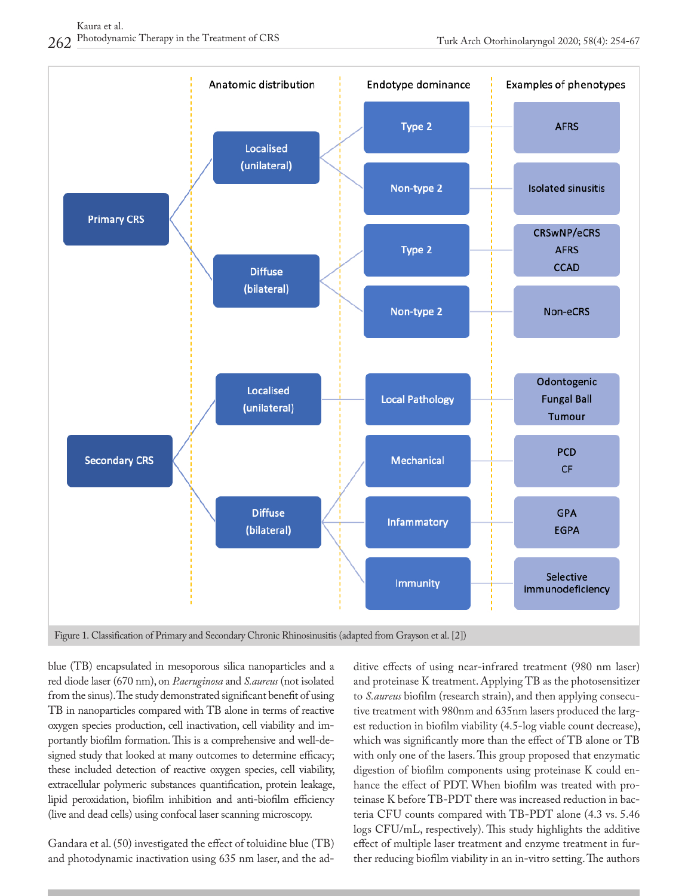

blue (TB) encapsulated in mesoporous silica nanoparticles and a red diode laser (670 nm), on *P.aeruginosa* and *S.aureus* (not isolated from the sinus). The study demonstrated significant benefit of using TB in nanoparticles compared with TB alone in terms of reactive oxygen species production, cell inactivation, cell viability and importantly biofilm formation. This is a comprehensive and well-designed study that looked at many outcomes to determine efficacy; these included detection of reactive oxygen species, cell viability, extracellular polymeric substances quantification, protein leakage, lipid peroxidation, biofilm inhibition and anti-biofilm efficiency (live and dead cells) using confocal laser scanning microscopy.

Gandara et al. (50) investigated the effect of toluidine blue (TB) and photodynamic inactivation using 635 nm laser, and the additive effects of using near-infrared treatment (980 nm laser) and proteinase K treatment. Applying TB as the photosensitizer to *S.aureus* biofilm (research strain), and then applying consecutive treatment with 980nm and 635nm lasers produced the largest reduction in biofilm viability (4.5-log viable count decrease), which was significantly more than the effect of TB alone or TB with only one of the lasers. This group proposed that enzymatic digestion of biofilm components using proteinase K could enhance the effect of PDT. When biofilm was treated with proteinase K before TB-PDT there was increased reduction in bacteria CFU counts compared with TB-PDT alone (4.3 vs. 5.46 logs CFU/mL, respectively). This study highlights the additive effect of multiple laser treatment and enzyme treatment in further reducing biofilm viability in an in-vitro setting. The authors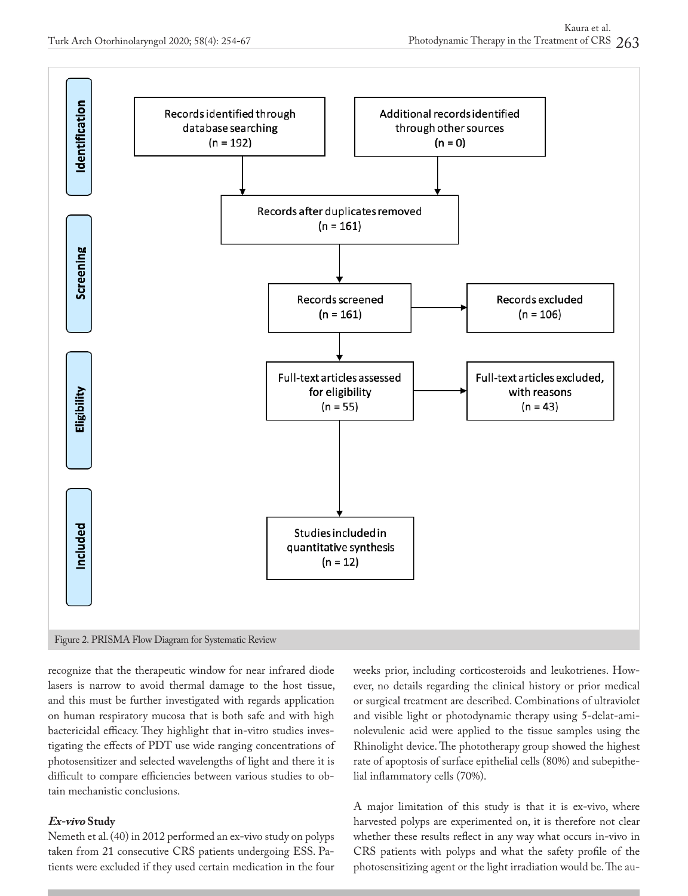

recognize that the therapeutic window for near infrared diode lasers is narrow to avoid thermal damage to the host tissue, and this must be further investigated with regards application on human respiratory mucosa that is both safe and with high bactericidal efficacy. They highlight that in-vitro studies investigating the effects of PDT use wide ranging concentrations of photosensitizer and selected wavelengths of light and there it is difficult to compare efficiencies between various studies to obtain mechanistic conclusions.

# **Ex-vivo Study**

Nemeth et al. (40) in 2012 performed an ex-vivo study on polyps taken from 21 consecutive CRS patients undergoing ESS. Patients were excluded if they used certain medication in the four weeks prior, including corticosteroids and leukotrienes. However, no details regarding the clinical history or prior medical or surgical treatment are described. Combinations of ultraviolet and visible light or photodynamic therapy using 5-delat-aminolevulenic acid were applied to the tissue samples using the Rhinolight device. The phototherapy group showed the highest rate of apoptosis of surface epithelial cells (80%) and subepithelial inflammatory cells (70%).

A major limitation of this study is that it is ex-vivo, where harvested polyps are experimented on, it is therefore not clear whether these results reflect in any way what occurs in-vivo in CRS patients with polyps and what the safety profile of the photosensitizing agent or the light irradiation would be. The au-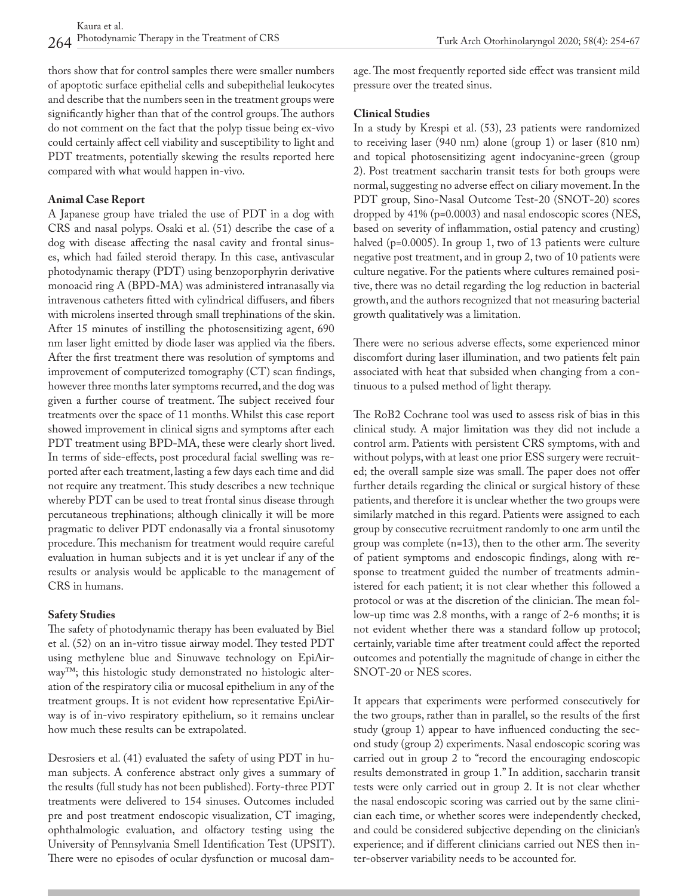Turk Arch Otorhinolaryngol 2020; 58(4): 254-67

thors show that for control samples there were smaller numbers of apoptotic surface epithelial cells and subepithelial leukocytes and describe that the numbers seen in the treatment groups were significantly higher than that of the control groups. The authors do not comment on the fact that the polyp tissue being ex-vivo could certainly affect cell viability and susceptibility to light and PDT treatments, potentially skewing the results reported here compared with what would happen in-vivo.

#### **Animal Case Report**

A Japanese group have trialed the use of PDT in a dog with CRS and nasal polyps. Osaki et al. (51) describe the case of a dog with disease affecting the nasal cavity and frontal sinuses, which had failed steroid therapy. In this case, antivascular photodynamic therapy (PDT) using benzoporphyrin derivative monoacid ring A (BPD-MA) was administered intranasally via intravenous catheters fitted with cylindrical diffusers, and fibers with microlens inserted through small trephinations of the skin. After 15 minutes of instilling the photosensitizing agent, 690 nm laser light emitted by diode laser was applied via the fibers. After the first treatment there was resolution of symptoms and improvement of computerized tomography (CT) scan findings, however three months later symptoms recurred, and the dog was given a further course of treatment. The subject received four treatments over the space of 11 months. Whilst this case report showed improvement in clinical signs and symptoms after each PDT treatment using BPD-MA, these were clearly short lived. In terms of side-effects, post procedural facial swelling was reported after each treatment, lasting a few days each time and did not require any treatment. This study describes a new technique whereby PDT can be used to treat frontal sinus disease through percutaneous trephinations; although clinically it will be more pragmatic to deliver PDT endonasally via a frontal sinusotomy procedure. This mechanism for treatment would require careful evaluation in human subjects and it is yet unclear if any of the results or analysis would be applicable to the management of CRS in humans.

### **Safety Studies**

The safety of photodynamic therapy has been evaluated by Biel et al. (52) on an in-vitro tissue airway model. They tested PDT using methylene blue and Sinuwave technology on EpiAirway™; this histologic study demonstrated no histologic alteration of the respiratory cilia or mucosal epithelium in any of the treatment groups. It is not evident how representative EpiAirway is of in-vivo respiratory epithelium, so it remains unclear how much these results can be extrapolated.

Desrosiers et al. (41) evaluated the safety of using PDT in human subjects. A conference abstract only gives a summary of the results (full study has not been published). Forty-three PDT treatments were delivered to 154 sinuses. Outcomes included pre and post treatment endoscopic visualization, CT imaging, ophthalmologic evaluation, and olfactory testing using the University of Pennsylvania Smell Identification Test (UPSIT). There were no episodes of ocular dysfunction or mucosal damage. The most frequently reported side effect was transient mild pressure over the treated sinus.

#### **Clinical Studies**

In a study by Krespi et al. (53), 23 patients were randomized to receiving laser (940 nm) alone (group 1) or laser (810 nm) and topical photosensitizing agent indocyanine-green (group 2). Post treatment saccharin transit tests for both groups were normal, suggesting no adverse effect on ciliary movement. In the PDT group, Sino-Nasal Outcome Test-20 (SNOT-20) scores dropped by 41% (p=0.0003) and nasal endoscopic scores (NES, based on severity of inflammation, ostial patency and crusting) halved (p=0.0005). In group 1, two of 13 patients were culture negative post treatment, and in group 2, two of 10 patients were culture negative. For the patients where cultures remained positive, there was no detail regarding the log reduction in bacterial growth, and the authors recognized that not measuring bacterial growth qualitatively was a limitation.

There were no serious adverse effects, some experienced minor discomfort during laser illumination, and two patients felt pain associated with heat that subsided when changing from a continuous to a pulsed method of light therapy.

The RoB2 Cochrane tool was used to assess risk of bias in this clinical study. A major limitation was they did not include a control arm. Patients with persistent CRS symptoms, with and without polyps, with at least one prior ESS surgery were recruited; the overall sample size was small. The paper does not offer further details regarding the clinical or surgical history of these patients, and therefore it is unclear whether the two groups were similarly matched in this regard. Patients were assigned to each group by consecutive recruitment randomly to one arm until the group was complete (n=13), then to the other arm. The severity of patient symptoms and endoscopic findings, along with response to treatment guided the number of treatments administered for each patient; it is not clear whether this followed a protocol or was at the discretion of the clinician. The mean follow-up time was 2.8 months, with a range of 2-6 months; it is not evident whether there was a standard follow up protocol; certainly, variable time after treatment could affect the reported outcomes and potentially the magnitude of change in either the SNOT-20 or NES scores.

It appears that experiments were performed consecutively for the two groups, rather than in parallel, so the results of the first study (group 1) appear to have influenced conducting the second study (group 2) experiments. Nasal endoscopic scoring was carried out in group 2 to "record the encouraging endoscopic results demonstrated in group 1." In addition, saccharin transit tests were only carried out in group 2. It is not clear whether the nasal endoscopic scoring was carried out by the same clinician each time, or whether scores were independently checked, and could be considered subjective depending on the clinician's experience; and if different clinicians carried out NES then inter-observer variability needs to be accounted for.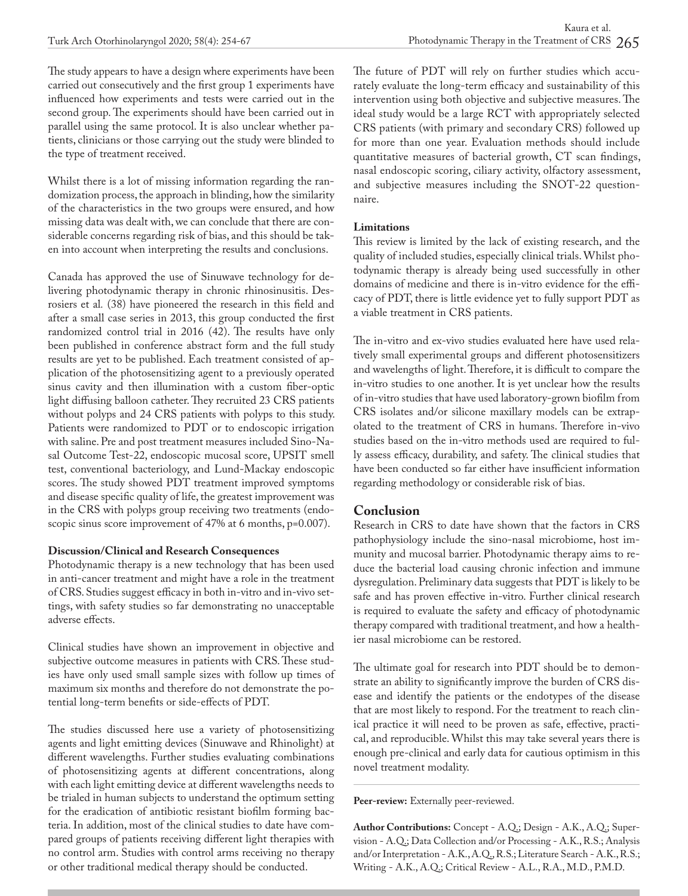The study appears to have a design where experiments have been carried out consecutively and the first group 1 experiments have influenced how experiments and tests were carried out in the second group. The experiments should have been carried out in parallel using the same protocol. It is also unclear whether patients, clinicians or those carrying out the study were blinded to the type of treatment received.

Whilst there is a lot of missing information regarding the randomization process, the approach in blinding, how the similarity of the characteristics in the two groups were ensured, and how missing data was dealt with, we can conclude that there are considerable concerns regarding risk of bias, and this should be taken into account when interpreting the results and conclusions.

Canada has approved the use of Sinuwave technology for delivering photodynamic therapy in chronic rhinosinusitis. Desrosiers et al*.* (38) have pioneered the research in this field and after a small case series in 2013, this group conducted the first randomized control trial in 2016 (42). The results have only been published in conference abstract form and the full study results are yet to be published. Each treatment consisted of application of the photosensitizing agent to a previously operated sinus cavity and then illumination with a custom fiber-optic light diffusing balloon catheter. They recruited 23 CRS patients without polyps and 24 CRS patients with polyps to this study. Patients were randomized to PDT or to endoscopic irrigation with saline. Pre and post treatment measures included Sino-Nasal Outcome Test-22, endoscopic mucosal score, UPSIT smell test, conventional bacteriology, and Lund-Mackay endoscopic scores. The study showed PDT treatment improved symptoms and disease specific quality of life, the greatest improvement was in the CRS with polyps group receiving two treatments (endoscopic sinus score improvement of 47% at 6 months, p=0.007).

### **Discussion/Clinical and Research Consequences**

Photodynamic therapy is a new technology that has been used in anti-cancer treatment and might have a role in the treatment of CRS. Studies suggest efficacy in both in-vitro and in-vivo settings, with safety studies so far demonstrating no unacceptable adverse effects.

Clinical studies have shown an improvement in objective and subjective outcome measures in patients with CRS. These studies have only used small sample sizes with follow up times of maximum six months and therefore do not demonstrate the potential long-term benefits or side-effects of PDT.

The studies discussed here use a variety of photosensitizing agents and light emitting devices (Sinuwave and Rhinolight) at different wavelengths. Further studies evaluating combinations of photosensitizing agents at different concentrations, along with each light emitting device at different wavelengths needs to be trialed in human subjects to understand the optimum setting for the eradication of antibiotic resistant biofilm forming bacteria. In addition, most of the clinical studies to date have compared groups of patients receiving different light therapies with no control arm. Studies with control arms receiving no therapy or other traditional medical therapy should be conducted.

The future of PDT will rely on further studies which accurately evaluate the long-term efficacy and sustainability of this intervention using both objective and subjective measures. The ideal study would be a large RCT with appropriately selected CRS patients (with primary and secondary CRS) followed up for more than one year. Evaluation methods should include quantitative measures of bacterial growth, CT scan findings, nasal endoscopic scoring, ciliary activity, olfactory assessment, and subjective measures including the SNOT-22 questionnaire.

# **Limitations**

This review is limited by the lack of existing research, and the quality of included studies, especially clinical trials. Whilst photodynamic therapy is already being used successfully in other domains of medicine and there is in-vitro evidence for the efficacy of PDT, there is little evidence yet to fully support PDT as a viable treatment in CRS patients.

The in-vitro and ex-vivo studies evaluated here have used relatively small experimental groups and different photosensitizers and wavelengths of light. Therefore, it is difficult to compare the in-vitro studies to one another. It is yet unclear how the results of in-vitro studies that have used laboratory-grown biofilm from CRS isolates and/or silicone maxillary models can be extrapolated to the treatment of CRS in humans. Therefore in-vivo studies based on the in-vitro methods used are required to fully assess efficacy, durability, and safety. The clinical studies that have been conducted so far either have insufficient information regarding methodology or considerable risk of bias.

# **Conclusion**

Research in CRS to date have shown that the factors in CRS pathophysiology include the sino-nasal microbiome, host immunity and mucosal barrier. Photodynamic therapy aims to reduce the bacterial load causing chronic infection and immune dysregulation. Preliminary data suggests that PDT is likely to be safe and has proven effective in-vitro. Further clinical research is required to evaluate the safety and efficacy of photodynamic therapy compared with traditional treatment, and how a healthier nasal microbiome can be restored.

The ultimate goal for research into PDT should be to demonstrate an ability to significantly improve the burden of CRS disease and identify the patients or the endotypes of the disease that are most likely to respond. For the treatment to reach clinical practice it will need to be proven as safe, effective, practical, and reproducible. Whilst this may take several years there is enough pre-clinical and early data for cautious optimism in this novel treatment modality.

Peer-review: Externally peer-reviewed.

**Author Contributions:** Concept - A.Q.; Design - A.K., A.Q.; Supervision - A.Q.; Data Collection and/or Processing - A.K., R.S.; Analysis and/or Interpretation - A.K., A.Q., R.S.; Literature Search - A.K., R.S.; Writing - A.K., A.Q.; Critical Review - A.L., R.A., M.D., P.M.D.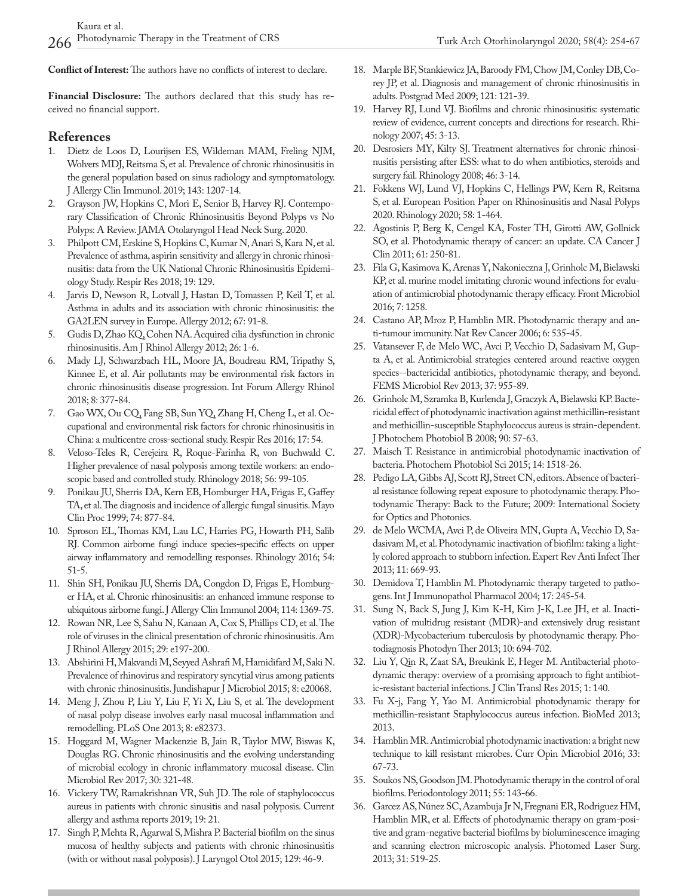**Conflict of Interest:** The authors have no conflicts of interest to declare.

**Financial Disclosure:** The authors declared that this study has received no financial support.

#### **References**

- 1. Dietz de Loos D, Lourijsen ES, Wildeman MAM, Freling NJM, Wolvers MDJ, Reitsma S, et al. Prevalence of chronic rhinosinusitis in the general population based on sinus radiology and symptomatology. J Allergy Clin Immunol. 2019; 143: 1207-14.
- 2. Grayson JW, Hopkins C, Mori E, Senior B, Harvey RJ. Contemporary Classification of Chronic Rhinosinusitis Beyond Polyps vs No Polyps: A Review. JAMA Otolaryngol Head Neck Surg. 2020.
- 3. Philpott CM, Erskine S, Hopkins C, Kumar N, Anari S, Kara N, et al. Prevalence of asthma, aspirin sensitivity and allergy in chronic rhinosinusitis: data from the UK National Chronic Rhinosinusitis Epidemiology Study. Respir Res 2018; 19: 129.
- 4. Jarvis D, Newson R, Lotvall J, Hastan D, Tomassen P, Keil T, et al. Asthma in adults and its association with chronic rhinosinusitis: the GA2LEN survey in Europe. Allergy 2012; 67: 91-8.
- 5. Gudis D, Zhao KQ, Cohen NA. Acquired cilia dysfunction in chronic rhinosinusitis. Am J Rhinol Allergy 2012; 26: 1-6.
- 6. Mady LJ, Schwarzbach HL, Moore JA, Boudreau RM, Tripathy S, Kinnee E, et al. Air pollutants may be environmental risk factors in chronic rhinosinusitis disease progression. Int Forum Allergy Rhinol 2018; 8: 377-84.
- 7. Gao WX, Ou CQ, Fang SB, Sun YQ, Zhang H, Cheng L, et al. Occupational and environmental risk factors for chronic rhinosinusitis in China: a multicentre cross-sectional study. Respir Res 2016; 17: 54.
- 8. Veloso-Teles R, Cerejeira R, Roque-Farinha R, von Buchwald C. Higher prevalence of nasal polyposis among textile workers: an endoscopic based and controlled study. Rhinology 2018; 56: 99-105.
- 9. Ponikau JU, Sherris DA, Kern EB, Homburger HA, Frigas E, Gaffey TA, et al. The diagnosis and incidence of allergic fungal sinusitis. Mayo Clin Proc 1999; 74: 877-84.
- 10. Sproson EL, Thomas KM, Lau LC, Harries PG, Howarth PH, Salib RJ. Common airborne fungi induce species-specific effects on upper airway inflammatory and remodelling responses. Rhinology 2016; 54: 51-5.
- 11. Shin SH, Ponikau JU, Sherris DA, Congdon D, Frigas E, Homburger HA, et al. Chronic rhinosinusitis: an enhanced immune response to ubiquitous airborne fungi. J Allergy Clin Immunol 2004; 114: 1369-75.
- 12. Rowan NR, Lee S, Sahu N, Kanaan A, Cox S, Phillips CD, et al. The role of viruses in the clinical presentation of chronic rhinosinusitis. Am J Rhinol Allergy 2015; 29: e197-200.
- 13. Abshirini H, Makvandi M, Seyyed Ashrafi M, Hamidifard M, Saki N. Prevalence of rhinovirus and respiratory syncytial virus among patients with chronic rhinosinusitis. Jundishapur J Microbiol 2015; 8: e20068.
- 14. Meng J, Zhou P, Liu Y, Liu F, Yi X, Liu S, et al. The development of nasal polyp disease involves early nasal mucosal inflammation and remodelling. PLoS One 2013; 8: e82373.
- 15. Hoggard M, Wagner Mackenzie B, Jain R, Taylor MW, Biswas K, Douglas RG. Chronic rhinosinusitis and the evolving understanding of microbial ecology in chronic inflammatory mucosal disease. Clin Microbiol Rev 2017; 30: 321-48.
- 16. Vickery TW, Ramakrishnan VR, Suh JD. The role of staphylococcus aureus in patients with chronic sinusitis and nasal polyposis. Current allergy and asthma reports 2019; 19: 21.
- 17. Singh P, Mehta R, Agarwal S, Mishra P. Bacterial biofilm on the sinus mucosa of healthy subjects and patients with chronic rhinosinusitis (with or without nasal polyposis). J Laryngol Otol 2015; 129: 46-9.
- 18. Marple BF, Stankiewicz JA, Baroody FM, Chow JM, Conley DB, Corey JP, et al. Diagnosis and management of chronic rhinosinusitis in adults. Postgrad Med 2009; 121: 121-39.
- 19. Harvey RJ, Lund VJ. Biofilms and chronic rhinosinusitis: systematic review of evidence, current concepts and directions for research. Rhinology 2007; 45: 3-13.
- 20. Desrosiers MY, Kilty SJ. Treatment alternatives for chronic rhinosinusitis persisting after ESS: what to do when antibiotics, steroids and surgery fail. Rhinology 2008; 46: 3-14.
- 21. Fokkens WJ, Lund VJ, Hopkins C, Hellings PW, Kern R, Reitsma S, et al. European Position Paper on Rhinosinusitis and Nasal Polyps 2020. Rhinology 2020; 58: 1-464.
- 22. Agostinis P, Berg K, Cengel KA, Foster TH, Girotti AW, Gollnick SO, et al. Photodynamic therapy of cancer: an update. CA Cancer J Clin 2011; 61: 250-81.
- 23. Fila G, Kasimova K, Arenas Y, Nakonieczna J, Grinholc M, Bielawski KP, et al. murine model imitating chronic wound infections for evaluation of antimicrobial photodynamic therapy efficacy. Front Microbiol 2016; 7: 1258.
- 24. Castano AP, Mroz P, Hamblin MR. Photodynamic therapy and anti-tumour immunity. Nat Rev Cancer 2006; 6: 535-45.
- 25. Vatansever F, de Melo WC, Avci P, Vecchio D, Sadasivam M, Gupta A, et al. Antimicrobial strategies centered around reactive oxygen species--bactericidal antibiotics, photodynamic therapy, and beyond. FEMS Microbiol Rev 2013; 37: 955-89.
- 26. Grinholc M, Szramka B, Kurlenda J, Graczyk A, Bielawski KP. Bactericidal effect of photodynamic inactivation against methicillin-resistant and methicillin-susceptible Staphylococcus aureus is strain-dependent. J Photochem Photobiol B 2008; 90: 57-63.
- 27. Maisch T. Resistance in antimicrobial photodynamic inactivation of bacteria. Photochem Photobiol Sci 2015; 14: 1518-26.
- 28. Pedigo LA, Gibbs AJ, Scott RJ, Street CN, editors. Absence of bacterial resistance following repeat exposure to photodynamic therapy. Photodynamic Therapy: Back to the Future; 2009: International Society for Optics and Photonics.
- 29. de Melo WCMA, Avci P, de Oliveira MN, Gupta A, Vecchio D, Sadasivam M, et al. Photodynamic inactivation of biofilm: taking a lightly colored approach to stubborn infection. Expert Rev Anti Infect Ther 2013; 11: 669-93.
- 30. Demidova T, Hamblin M. Photodynamic therapy targeted to pathogens. Int J Immunopathol Pharmacol 2004; 17: 245-54.
- 31. Sung N, Back S, Jung J, Kim K-H, Kim J-K, Lee JH, et al. Inactivation of multidrug resistant (MDR)-and extensively drug resistant (XDR)-Mycobacterium tuberculosis by photodynamic therapy. Photodiagnosis Photodyn Ther 2013; 10: 694-702.
- 32. Liu Y, Qin R, Zaat SA, Breukink E, Heger M. Antibacterial photodynamic therapy: overview of a promising approach to fight antibiotic-resistant bacterial infections. J Clin Transl Res 2015; 1: 140.
- 33. Fu X-j, Fang Y, Yao M. Antimicrobial photodynamic therapy for methicillin-resistant Staphylococcus aureus infection. BioMed 2013; 2013.
- 34. Hamblin MR. Antimicrobial photodynamic inactivation: a bright new technique to kill resistant microbes. Curr Opin Microbiol 2016; 33: 67-73.
- 35. Soukos NS, Goodson JM. Photodynamic therapy in the control of oral biofilms. Periodontology 2011; 55: 143-66.
- 36. Garcez AS, Núnez SC, Azambuja Jr N, Fregnani ER, Rodriguez HM, Hamblin MR, et al. Effects of photodynamic therapy on gram-positive and gram-negative bacterial biofilms by bioluminescence imaging and scanning electron microscopic analysis. Photomed Laser Surg. 2013; 31: 519-25.